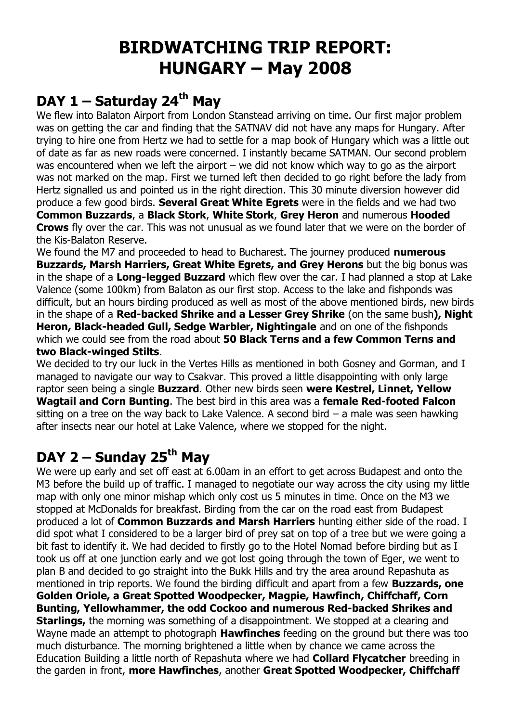# **BIRDWATCHING TRIP REPORT: HUNGARY – May 2008**

#### **DAY 1 – Saturday 24th May**

We flew into Balaton Airport from London Stanstead arriving on time. Our first major problem was on getting the car and finding that the SATNAV did not have any maps for Hungary. After trying to hire one from Hertz we had to settle for a map book of Hungary which was a little out of date as far as new roads were concerned. I instantly became SATMAN. Our second problem was encountered when we left the airport – we did not know which way to go as the airport was not marked on the map. First we turned left then decided to go right before the lady from Hertz signalled us and pointed us in the right direction. This 30 minute diversion however did produce a few good birds. **Several Great White Egrets** were in the fields and we had two **Common Buzzards**, a **Black Stork**, **White Stork**, **Grey Heron** and numerous **Hooded Crows** fly over the car. This was not unusual as we found later that we were on the border of the Kis-Balaton Reserve.

We found the M7 and proceeded to head to Bucharest. The journey produced **numerous Buzzards, Marsh Harriers, Great White Egrets, and Grey Herons** but the big bonus was in the shape of a **Long-legged Buzzard** which flew over the car. I had planned a stop at Lake Valence (some 100km) from Balaton as our first stop. Access to the lake and fishponds was difficult, but an hours birding produced as well as most of the above mentioned birds, new birds in the shape of a **Red-backed Shrike and a Lesser Grey Shrike** (on the same bush**), Night Heron, Black-headed Gull, Sedge Warbler, Nightingale** and on one of the fishponds which we could see from the road about **50 Black Terns and a few Common Terns and two Black-winged Stilts**.

We decided to try our luck in the Vertes Hills as mentioned in both Gosney and Gorman, and I managed to navigate our way to Csakvar. This proved a little disappointing with only large raptor seen being a single **Buzzard**. Other new birds seen **were Kestrel, Linnet, Yellow Wagtail and Corn Bunting**. The best bird in this area was a **female Red-footed Falcon** sitting on a tree on the way back to Lake Valence. A second bird – a male was seen hawking after insects near our hotel at Lake Valence, where we stopped for the night.

## **DAY 2 – Sunday 25th May**

We were up early and set off east at 6.00am in an effort to get across Budapest and onto the M3 before the build up of traffic. I managed to negotiate our way across the city using my little map with only one minor mishap which only cost us 5 minutes in time. Once on the M3 we stopped at McDonalds for breakfast. Birding from the car on the road east from Budapest produced a lot of **Common Buzzards and Marsh Harriers** hunting either side of the road. I did spot what I considered to be a larger bird of prey sat on top of a tree but we were going a bit fast to identify it. We had decided to firstly go to the Hotel Nomad before birding but as I took us off at one junction early and we got lost going through the town of Eger, we went to plan B and decided to go straight into the Bukk Hills and try the area around Repashuta as mentioned in trip reports. We found the birding difficult and apart from a few **Buzzards, one Golden Oriole, a Great Spotted Woodpecker, Magpie, Hawfinch, Chiffchaff, Corn Bunting, Yellowhammer, the odd Cockoo and numerous Red-backed Shrikes and Starlings,** the morning was something of a disappointment. We stopped at a clearing and Wayne made an attempt to photograph **Hawfinches** feeding on the ground but there was too much disturbance. The morning brightened a little when by chance we came across the Education Building a little north of Repashuta where we had **Collard Flycatcher** breeding in the garden in front, **more Hawfinches**, another **Great Spotted Woodpecker, Chiffchaff**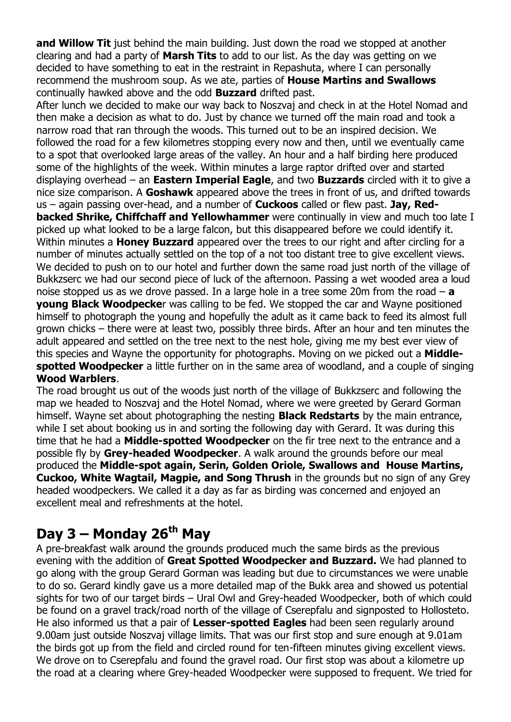**and Willow Tit** just behind the main building. Just down the road we stopped at another clearing and had a party of **Marsh Tits** to add to our list. As the day was getting on we decided to have something to eat in the restraint in Repashuta, where I can personally recommend the mushroom soup. As we ate, parties of **House Martins and Swallows** continually hawked above and the odd **Buzzard** drifted past.

After lunch we decided to make our way back to Noszvaj and check in at the Hotel Nomad and then make a decision as what to do. Just by chance we turned off the main road and took a narrow road that ran through the woods. This turned out to be an inspired decision. We followed the road for a few kilometres stopping every now and then, until we eventually came to a spot that overlooked large areas of the valley. An hour and a half birding here produced some of the highlights of the week. Within minutes a large raptor drifted over and started displaying overhead – an **Eastern Imperial Eagle**, and two **Buzzards** circled with it to give a nice size comparison. A **Goshawk** appeared above the trees in front of us, and drifted towards us – again passing over-head, and a number of **Cuckoos** called or flew past. **Jay, Redbacked Shrike, Chiffchaff and Yellowhammer** were continually in view and much too late I picked up what looked to be a large falcon, but this disappeared before we could identify it. Within minutes a **Honey Buzzard** appeared over the trees to our right and after circling for a number of minutes actually settled on the top of a not too distant tree to give excellent views. We decided to push on to our hotel and further down the same road just north of the village of Bukkzserc we had our second piece of luck of the afternoon. Passing a wet wooded area a loud noise stopped us as we drove passed. In a large hole in a tree some 20m from the road – **a young Black Woodpecke**r was calling to be fed. We stopped the car and Wayne positioned himself to photograph the young and hopefully the adult as it came back to feed its almost full grown chicks – there were at least two, possibly three birds. After an hour and ten minutes the adult appeared and settled on the tree next to the nest hole, giving me my best ever view of this species and Wayne the opportunity for photographs. Moving on we picked out a **Middlespotted Woodpecker** a little further on in the same area of woodland, and a couple of singing **Wood Warblers**.

The road brought us out of the woods just north of the village of Bukkzserc and following the map we headed to Noszvaj and the Hotel Nomad, where we were greeted by Gerard Gorman himself. Wayne set about photographing the nesting **Black Redstarts** by the main entrance, while I set about booking us in and sorting the following day with Gerard. It was during this time that he had a **Middle-spotted Woodpecker** on the fir tree next to the entrance and a possible fly by **Grey-headed Woodpecker**. A walk around the grounds before our meal produced the **Middle-spot again, Serin, Golden Oriole, Swallows and House Martins, Cuckoo, White Wagtail, Magpie, and Song Thrush** in the grounds but no sign of any Grey headed woodpeckers. We called it a day as far as birding was concerned and enjoyed an excellent meal and refreshments at the hotel.

#### **Day 3 – Monday 26th May**

A pre-breakfast walk around the grounds produced much the same birds as the previous evening with the addition of **Great Spotted Woodpecker and Buzzard.** We had planned to go along with the group Gerard Gorman was leading but due to circumstances we were unable to do so. Gerard kindly gave us a more detailed map of the Bukk area and showed us potential sights for two of our target birds – Ural Owl and Grey-headed Woodpecker, both of which could be found on a gravel track/road north of the village of Cserepfalu and signposted to Hollosteto. He also informed us that a pair of **Lesser-spotted Eagles** had been seen regularly around 9.00am just outside Noszvaj village limits. That was our first stop and sure enough at 9.01am the birds got up from the field and circled round for ten-fifteen minutes giving excellent views. We drove on to Cserepfalu and found the gravel road. Our first stop was about a kilometre up the road at a clearing where Grey-headed Woodpecker were supposed to frequent. We tried for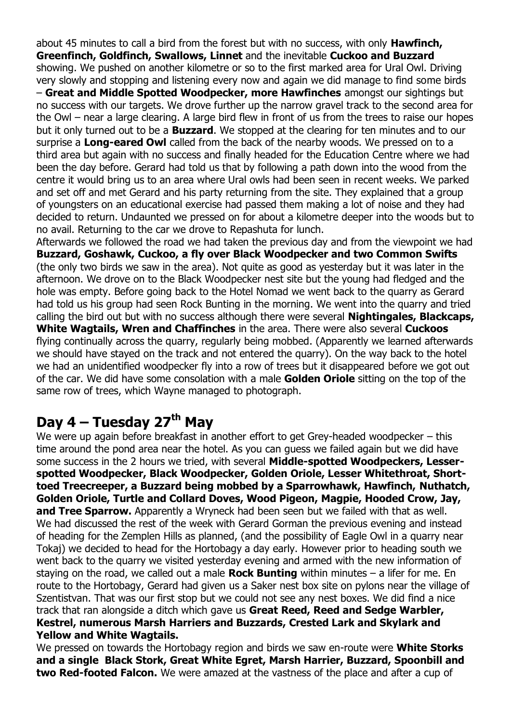about 45 minutes to call a bird from the forest but with no success, with only **Hawfinch, Greenfinch, Goldfinch, Swallows, Linnet** and the inevitable **Cuckoo and Buzzard** showing. We pushed on another kilometre or so to the first marked area for Ural Owl. Driving very slowly and stopping and listening every now and again we did manage to find some birds – **Great and Middle Spotted Woodpecker, more Hawfinches** amongst our sightings but no success with our targets. We drove further up the narrow gravel track to the second area for the Owl – near a large clearing. A large bird flew in front of us from the trees to raise our hopes but it only turned out to be a **Buzzard**. We stopped at the clearing for ten minutes and to our surprise a **Long-eared Owl** called from the back of the nearby woods. We pressed on to a third area but again with no success and finally headed for the Education Centre where we had been the day before. Gerard had told us that by following a path down into the wood from the centre it would bring us to an area where Ural owls had been seen in recent weeks. We parked and set off and met Gerard and his party returning from the site. They explained that a group of youngsters on an educational exercise had passed them making a lot of noise and they had decided to return. Undaunted we pressed on for about a kilometre deeper into the woods but to no avail. Returning to the car we drove to Repashuta for lunch.

Afterwards we followed the road we had taken the previous day and from the viewpoint we had **Buzzard, Goshawk, Cuckoo, a fly over Black Woodpecker and two Common Swifts** (the only two birds we saw in the area). Not quite as good as yesterday but it was later in the afternoon. We drove on to the Black Woodpecker nest site but the young had fledged and the hole was empty. Before going back to the Hotel Nomad we went back to the quarry as Gerard had told us his group had seen Rock Bunting in the morning. We went into the quarry and tried calling the bird out but with no success although there were several **Nightingales, Blackcaps, White Wagtails, Wren and Chaffinches** in the area. There were also several **Cuckoos** flying continually across the quarry, regularly being mobbed. (Apparently we learned afterwards we should have stayed on the track and not entered the quarry). On the way back to the hotel we had an unidentified woodpecker fly into a row of trees but it disappeared before we got out of the car. We did have some consolation with a male **Golden Oriole** sitting on the top of the same row of trees, which Wayne managed to photograph.

#### **Day 4 – Tuesday 27th May**

We were up again before breakfast in another effort to get Grey-headed woodpecker – this time around the pond area near the hotel. As you can guess we failed again but we did have some success in the 2 hours we tried, with several **Middle-spotted Woodpeckers, Lesserspotted Woodpecker, Black Woodpecker, Golden Oriole, Lesser Whitethroat, Shorttoed Treecreeper, a Buzzard being mobbed by a Sparrowhawk, Hawfinch, Nuthatch, Golden Oriole, Turtle and Collard Doves, Wood Pigeon, Magpie, Hooded Crow, Jay,** and Tree Sparrow. Apparently a Wryneck had been seen but we failed with that as well. We had discussed the rest of the week with Gerard Gorman the previous evening and instead of heading for the Zemplen Hills as planned, (and the possibility of Eagle Owl in a quarry near Tokaj) we decided to head for the Hortobagy a day early. However prior to heading south we went back to the quarry we visited yesterday evening and armed with the new information of staying on the road, we called out a male **Rock Bunting** within minutes – a lifer for me. En route to the Hortobagy, Gerard had given us a Saker nest box site on pylons near the village of Szentistvan. That was our first stop but we could not see any nest boxes. We did find a nice track that ran alongside a ditch which gave us **Great Reed, Reed and Sedge Warbler, Kestrel, numerous Marsh Harriers and Buzzards, Crested Lark and Skylark and Yellow and White Wagtails.** 

We pressed on towards the Hortobagy region and birds we saw en-route were **White Storks and a single Black Stork, Great White Egret, Marsh Harrier, Buzzard, Spoonbill and two Red-footed Falcon.** We were amazed at the vastness of the place and after a cup of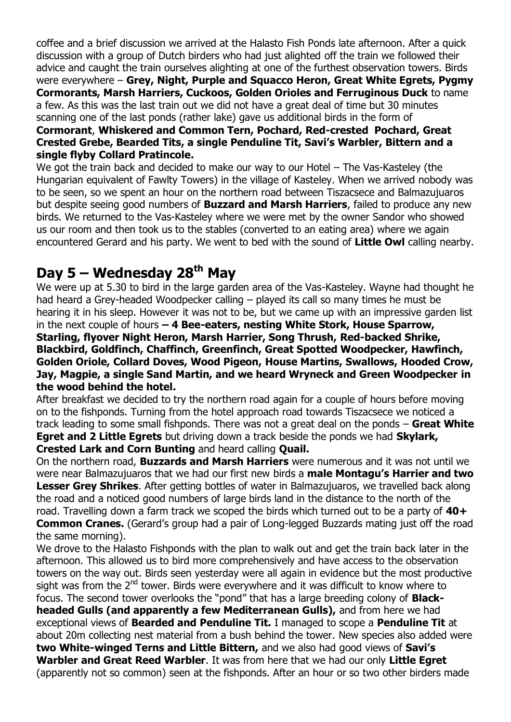coffee and a brief discussion we arrived at the Halasto Fish Ponds late afternoon. After a quick discussion with a group of Dutch birders who had just alighted off the train we followed their advice and caught the train ourselves alighting at one of the furthest observation towers. Birds were everywhere – **Grey, Night, Purple and Squacco Heron, Great White Egrets, Pygmy Cormorants, Marsh Harriers, Cuckoos, Golden Orioles and Ferruginous Duck** to name a few. As this was the last train out we did not have a great deal of time but 30 minutes scanning one of the last ponds (rather lake) gave us additional birds in the form of

#### **Cormorant**, **Whiskered and Common Tern, Pochard, Red-crested Pochard, Great Crested Grebe, Bearded Tits, a single Penduline Tit, Savi's Warbler, Bittern and a single flyby Collard Pratincole.**

We got the train back and decided to make our way to our Hotel – The Vas-Kasteley (the Hungarian equivalent of Fawlty Towers) in the village of Kasteley. When we arrived nobody was to be seen, so we spent an hour on the northern road between Tiszacsece and Balmazujuaros but despite seeing good numbers of **Buzzard and Marsh Harriers**, failed to produce any new birds. We returned to the Vas-Kasteley where we were met by the owner Sandor who showed us our room and then took us to the stables (converted to an eating area) where we again encountered Gerard and his party. We went to bed with the sound of **Little Owl** calling nearby.

#### **Day 5 – Wednesday 28th May**

We were up at 5.30 to bird in the large garden area of the Vas-Kasteley. Wayne had thought he had heard a Grey-headed Woodpecker calling – played its call so many times he must be hearing it in his sleep. However it was not to be, but we came up with an impressive garden list in the next couple of hours **– 4 Bee-eaters, nesting White Stork, House Sparrow, Starling, flyover Night Heron, Marsh Harrier, Song Thrush, Red-backed Shrike, Blackbird, Goldfinch, Chaffinch, Greenfinch, Great Spotted Woodpecker, Hawfinch, Golden Oriole, Collard Doves, Wood Pigeon, House Martins, Swallows, Hooded Crow, Jay, Magpie, a single Sand Martin, and we heard Wryneck and Green Woodpecker in the wood behind the hotel.**

After breakfast we decided to try the northern road again for a couple of hours before moving on to the fishponds. Turning from the hotel approach road towards Tiszacsece we noticed a track leading to some small fishponds. There was not a great deal on the ponds – **Great White Egret and 2 Little Egrets** but driving down a track beside the ponds we had **Skylark, Crested Lark and Corn Bunting** and heard calling **Quail.**

On the northern road, **Buzzards and Marsh Harriers** were numerous and it was not until we were near Balmazujuaros that we had our first new birds a **male Montagu's Harrier and two Lesser Grey Shrikes**. After getting bottles of water in Balmazujuaros, we travelled back along the road and a noticed good numbers of large birds land in the distance to the north of the road. Travelling down a farm track we scoped the birds which turned out to be a party of **40+ Common Cranes.** (Gerard's group had a pair of Long-legged Buzzards mating just off the road the same morning).

We drove to the Halasto Fishponds with the plan to walk out and get the train back later in the afternoon. This allowed us to bird more comprehensively and have access to the observation towers on the way out. Birds seen yesterday were all again in evidence but the most productive sight was from the  $2<sup>nd</sup>$  tower. Birds were everywhere and it was difficult to know where to focus. The second tower overlooks the "pond" that has a large breeding colony of **Blackheaded Gulls (and apparently a few Mediterranean Gulls),** and from here we had exceptional views of **Bearded and Penduline Tit.** I managed to scope a **Penduline Tit** at about 20m collecting nest material from a bush behind the tower. New species also added were **two White-winged Terns and Little Bittern,** and we also had good views of **Savi's Warbler and Great Reed Warbler**. It was from here that we had our only **Little Egret** (apparently not so common) seen at the fishponds. After an hour or so two other birders made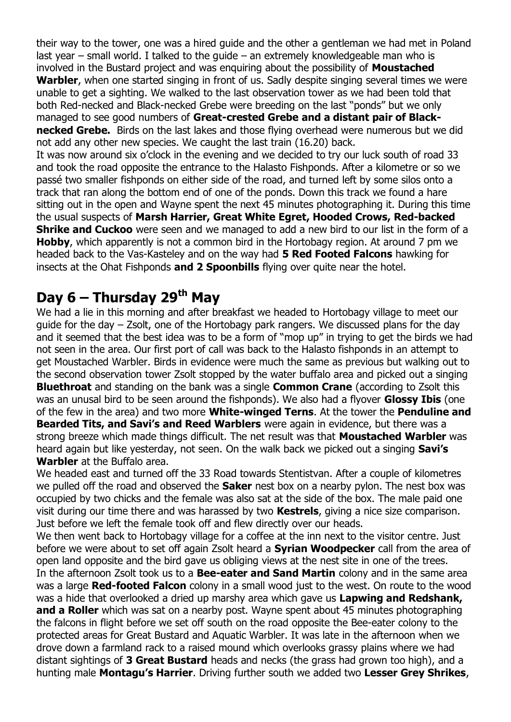their way to the tower, one was a hired guide and the other a gentleman we had met in Poland last year – small world. I talked to the guide – an extremely knowledgeable man who is involved in the Bustard project and was enquiring about the possibility of **Moustached Warbler**, when one started singing in front of us. Sadly despite singing several times we were unable to get a sighting. We walked to the last observation tower as we had been told that both Red-necked and Black-necked Grebe were breeding on the last "ponds" but we only managed to see good numbers of **Great-crested Grebe and a distant pair of Black-**

**necked Grebe.** Birds on the last lakes and those flying overhead were numerous but we did not add any other new species. We caught the last train (16.20) back.

It was now around six o'clock in the evening and we decided to try our luck south of road 33 and took the road opposite the entrance to the Halasto Fishponds. After a kilometre or so we passé two smaller fishponds on either side of the road, and turned left by some silos onto a track that ran along the bottom end of one of the ponds. Down this track we found a hare sitting out in the open and Wayne spent the next 45 minutes photographing it. During this time the usual suspects of **Marsh Harrier, Great White Egret, Hooded Crows, Red-backed Shrike and Cuckoo** were seen and we managed to add a new bird to our list in the form of a **Hobby**, which apparently is not a common bird in the Hortobagy region. At around 7 pm we headed back to the Vas-Kasteley and on the way had **5 Red Footed Falcons** hawking for insects at the Ohat Fishponds **and 2 Spoonbills** flying over quite near the hotel.

## **Day 6 – Thursday 29th May**

We had a lie in this morning and after breakfast we headed to Hortobagy village to meet our guide for the day – Zsolt, one of the Hortobagy park rangers. We discussed plans for the day and it seemed that the best idea was to be a form of "mop up" in trying to get the birds we had not seen in the area. Our first port of call was back to the Halasto fishponds in an attempt to get Moustached Warbler. Birds in evidence were much the same as previous but walking out to the second observation tower Zsolt stopped by the water buffalo area and picked out a singing **Bluethroat** and standing on the bank was a single **Common Crane** (according to Zsolt this was an unusal bird to be seen around the fishponds). We also had a flyover **Glossy Ibis** (one of the few in the area) and two more **White-winged Terns**. At the tower the **Penduline and Bearded Tits, and Savi's and Reed Warblers** were again in evidence, but there was a strong breeze which made things difficult. The net result was that **Moustached Warbler** was heard again but like yesterday, not seen. On the walk back we picked out a singing **Savi's Warbler** at the Buffalo area.

We headed east and turned off the 33 Road towards Stentistvan. After a couple of kilometres we pulled off the road and observed the **Saker** nest box on a nearby pylon. The nest box was occupied by two chicks and the female was also sat at the side of the box. The male paid one visit during our time there and was harassed by two **Kestrels**, giving a nice size comparison. Just before we left the female took off and flew directly over our heads.

We then went back to Hortobagy village for a coffee at the inn next to the visitor centre. Just before we were about to set off again Zsolt heard a **Syrian Woodpecker** call from the area of open land opposite and the bird gave us obliging views at the nest site in one of the trees. In the afternoon Zsolt took us to a **Bee-eater and Sand Martin** colony and in the same area was a large **Red-footed Falcon** colony in a small wood just to the west. On route to the wood was a hide that overlooked a dried up marshy area which gave us **Lapwing and Redshank, and a Roller** which was sat on a nearby post. Wayne spent about 45 minutes photographing the falcons in flight before we set off south on the road opposite the Bee-eater colony to the protected areas for Great Bustard and Aquatic Warbler. It was late in the afternoon when we drove down a farmland rack to a raised mound which overlooks grassy plains where we had distant sightings of **3 Great Bustard** heads and necks (the grass had grown too high), and a hunting male **Montagu's Harrier**. Driving further south we added two **Lesser Grey Shrikes**,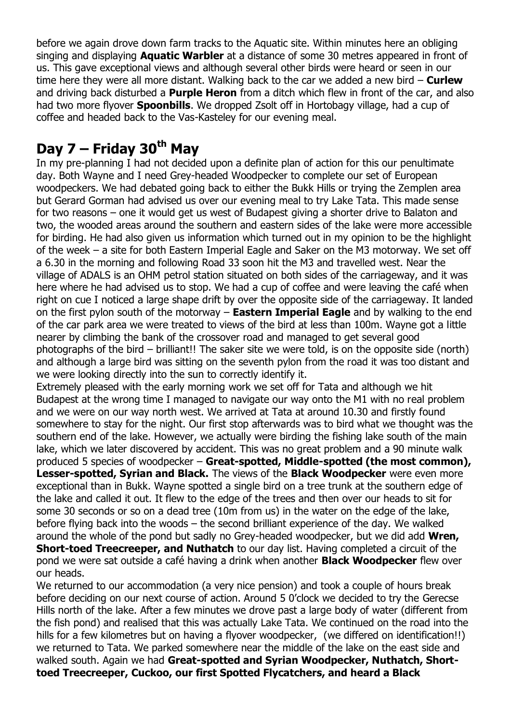before we again drove down farm tracks to the Aquatic site. Within minutes here an obliging singing and displaying **Aquatic Warbler** at a distance of some 30 metres appeared in front of us. This gave exceptional views and although several other birds were heard or seen in our time here they were all more distant. Walking back to the car we added a new bird – **Curlew**  and driving back disturbed a **Purple Heron** from a ditch which flew in front of the car, and also had two more flyover **Spoonbills**. We dropped Zsolt off in Hortobagy village, had a cup of coffee and headed back to the Vas-Kasteley for our evening meal.

# **Day 7 – Friday 30th May**

In my pre-planning I had not decided upon a definite plan of action for this our penultimate day. Both Wayne and I need Grey-headed Woodpecker to complete our set of European woodpeckers. We had debated going back to either the Bukk Hills or trying the Zemplen area but Gerard Gorman had advised us over our evening meal to try Lake Tata. This made sense for two reasons – one it would get us west of Budapest giving a shorter drive to Balaton and two, the wooded areas around the southern and eastern sides of the lake were more accessible for birding. He had also given us information which turned out in my opinion to be the highlight of the week – a site for both Eastern Imperial Eagle and Saker on the M3 motorway. We set off a 6.30 in the morning and following Road 33 soon hit the M3 and travelled west. Near the village of ADALS is an OHM petrol station situated on both sides of the carriageway, and it was here where he had advised us to stop. We had a cup of coffee and were leaving the café when right on cue I noticed a large shape drift by over the opposite side of the carriageway. It landed on the first pylon south of the motorway – **Eastern Imperial Eagle** and by walking to the end of the car park area we were treated to views of the bird at less than 100m. Wayne got a little nearer by climbing the bank of the crossover road and managed to get several good photographs of the bird – brilliant!! The saker site we were told, is on the opposite side (north) and although a large bird was sitting on the seventh pylon from the road it was too distant and we were looking directly into the sun to correctly identify it.

Extremely pleased with the early morning work we set off for Tata and although we hit Budapest at the wrong time I managed to navigate our way onto the M1 with no real problem and we were on our way north west. We arrived at Tata at around 10.30 and firstly found somewhere to stay for the night. Our first stop afterwards was to bird what we thought was the southern end of the lake. However, we actually were birding the fishing lake south of the main lake, which we later discovered by accident. This was no great problem and a 90 minute walk produced 5 species of woodpecker – **Great-spotted, Middle-spotted (the most common), Lesser-spotted, Syrian and Black.** The views of the **Black Woodpecker** were even more exceptional than in Bukk. Wayne spotted a single bird on a tree trunk at the southern edge of the lake and called it out. It flew to the edge of the trees and then over our heads to sit for some 30 seconds or so on a dead tree (10m from us) in the water on the edge of the lake, before flying back into the woods – the second brilliant experience of the day. We walked around the whole of the pond but sadly no Grey-headed woodpecker, but we did add **Wren, Short-toed Treecreeper, and Nuthatch** to our day list. Having completed a circuit of the pond we were sat outside a café having a drink when another **Black Woodpecker** flew over our heads.

We returned to our accommodation (a very nice pension) and took a couple of hours break before deciding on our next course of action. Around 5 0'clock we decided to try the Gerecse Hills north of the lake. After a few minutes we drove past a large body of water (different from the fish pond) and realised that this was actually Lake Tata. We continued on the road into the hills for a few kilometres but on having a flyover woodpecker, (we differed on identification!!) we returned to Tata. We parked somewhere near the middle of the lake on the east side and walked south. Again we had **Great-spotted and Syrian Woodpecker, Nuthatch, Shorttoed Treecreeper, Cuckoo, our first Spotted Flycatchers, and heard a Black**